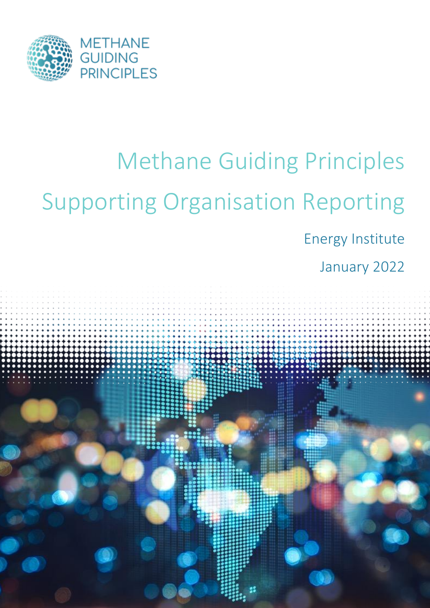

# Methane Guiding Principles Supporting Organisation Reporting

Energy Institute

January 2022

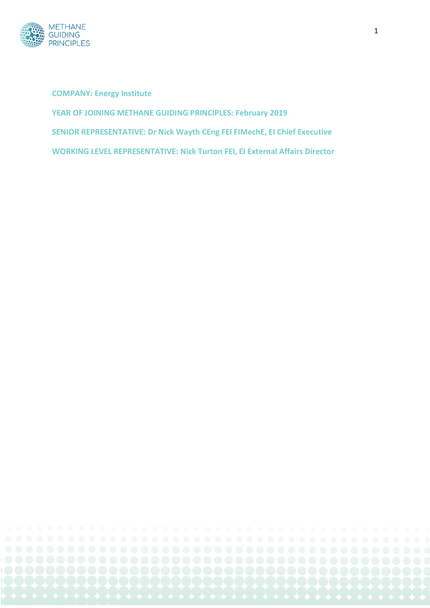

**COMPANY: Energy Institute YEAR OF JOINING METHANE GUIDING PRINCIPLES: February 2019 SENIOR REPRESENTATIVE: Dr Nick Wayth CEng FEI FIMechE, EI Chief Executive WORKING LEVEL REPRESENTATIVE: Nick Turton FEI, EI External Affairs Director**

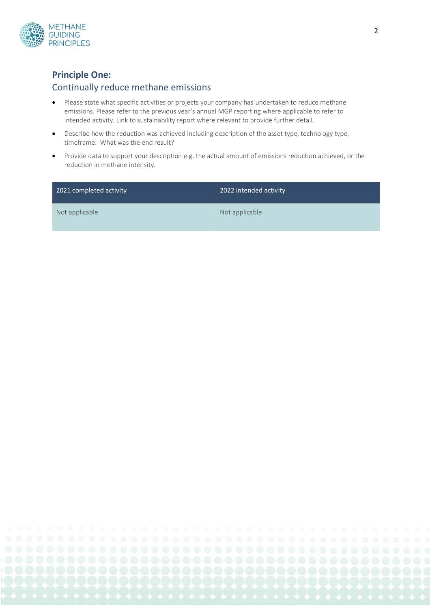

# **Principle One:**

#### Continually reduce methane emissions

- Please state what specific activities or projects your company has undertaken to reduce methane emissions. Please refer to the previous year's annual MGP reporting where applicable to refer to intended activity. Link to sustainability report where relevant to provide further detail.
- Describe how the reduction was achieved including description of the asset type, technology type, timeframe. What was the end result?
- Provide data to support your description e.g. the actual amount of emissions reduction achieved, or the reduction in methane intensity.

| 2021 completed activity | 2022 intended activity |
|-------------------------|------------------------|
| Not applicable          | Not applicable         |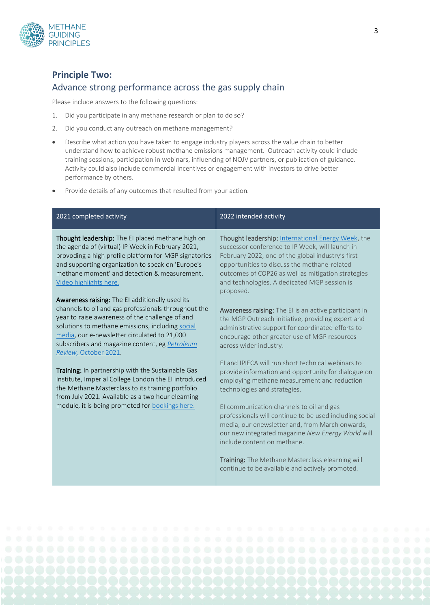

# **Principle Two:**  Advance strong performance across the gas supply chain

Please include answers to the following questions:

- 1. Did you participate in any methane research or plan to do so?
- 2. Did you conduct any outreach on methane management?
- Describe what action you have taken to engage industry players across the value chain to better understand how to achieve robust methane emissions management. Outreach activity could include training sessions, participation in webinars, influencing of NOJV partners, or publication of guidance. Activity could also include commercial incentives or engagement with investors to drive better performance by others.
- Provide details of any outcomes that resulted from your action.

| Thought leadership: The EI placed methane high on<br><b>Thought leadership:</b> International Energy Week, the<br>successor conference to IP Week, will launch in<br>the agenda of (virtual) IP Week in February 2021,<br>provoding a high profile platform for MGP signatories<br>February 2022, one of the global industry's first<br>and supporting organization to speak on 'Europe's<br>opportunities to discuss the methane-related<br>methane moment' and detection & measurement.<br>outcomes of COP26 as well as mitigation strategies<br>and technologies. A dedicated MGP session is<br>Video highlights here.<br>proposed.<br>Awareness raising: The EI additionally used its<br>channels to oil and gas professionals throughout the<br>Awareness raising: The EI is an active participant in<br>year to raise awareness of the challenge of and<br>the MGP Outreach initiative, providing expert and<br>solutions to methane emissions, including social<br>administrative support for coordinated efforts to<br>media, our e-newsletter circulated to 21,000<br>encourage other greater use of MGP resources<br>subscribers and magazine content, eg Petroleum<br>across wider industry.<br>Review, October 2021.<br>El and IPIECA will run short technical webinars to<br>Training: In partnership with the Sustainable Gas<br>provide information and opportunity for dialogue on<br>Institute, Imperial College London the EI introduced<br>employing methane measurement and reduction<br>the Methane Masterclass to its training portfolio<br>technologies and strategies.<br>from July 2021. Available as a two hour elearning<br>module, it is being promoted for bookings here.<br>El communication channels to oil and gas<br>professionals will continue to be used including social<br>media, our enewsletter and, from March onwards,<br>our new integrated magazine New Energy World will<br>include content on methane.<br>Training: The Methane Masterclass elearning will<br>continue to be available and actively promoted. | 2021 completed activity | 2022 intended activity |
|-------------------------------------------------------------------------------------------------------------------------------------------------------------------------------------------------------------------------------------------------------------------------------------------------------------------------------------------------------------------------------------------------------------------------------------------------------------------------------------------------------------------------------------------------------------------------------------------------------------------------------------------------------------------------------------------------------------------------------------------------------------------------------------------------------------------------------------------------------------------------------------------------------------------------------------------------------------------------------------------------------------------------------------------------------------------------------------------------------------------------------------------------------------------------------------------------------------------------------------------------------------------------------------------------------------------------------------------------------------------------------------------------------------------------------------------------------------------------------------------------------------------------------------------------------------------------------------------------------------------------------------------------------------------------------------------------------------------------------------------------------------------------------------------------------------------------------------------------------------------------------------------------------------------------------------------------------------------------------------------------------------------------------------------------------------|-------------------------|------------------------|
|                                                                                                                                                                                                                                                                                                                                                                                                                                                                                                                                                                                                                                                                                                                                                                                                                                                                                                                                                                                                                                                                                                                                                                                                                                                                                                                                                                                                                                                                                                                                                                                                                                                                                                                                                                                                                                                                                                                                                                                                                                                             |                         |                        |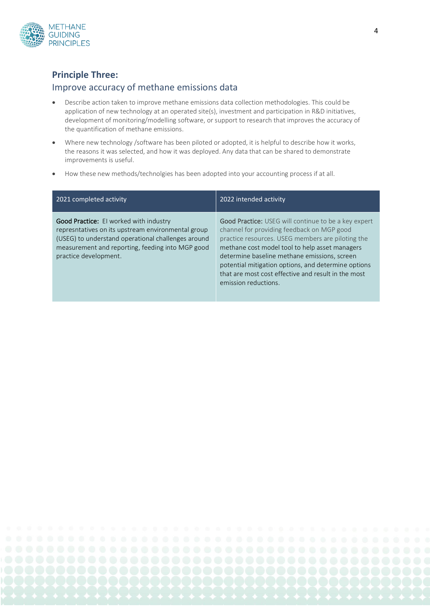

## **Principle Three:**

#### Improve accuracy of methane emissions data

- Describe action taken to improve methane emissions data collection methodologies. This could be application of new technology at an operated site(s), investment and participation in R&D initiatives, development of monitoring/modelling software, or support to research that improves the accuracy of the quantification of methane emissions.
- Where new technology /software has been piloted or adopted, it is helpful to describe how it works, the reasons it was selected, and how it was deployed. Any data that can be shared to demonstrate improvements is useful.
- How these new methods/technolgies has been adopted into your accounting process if at all.

| 2021 completed activity                                                                                                                                                                                                                | 2022 intended activity                                                                                                                                                                                                                                                                                                                                                                          |
|----------------------------------------------------------------------------------------------------------------------------------------------------------------------------------------------------------------------------------------|-------------------------------------------------------------------------------------------------------------------------------------------------------------------------------------------------------------------------------------------------------------------------------------------------------------------------------------------------------------------------------------------------|
| <b>Good Practice:</b> El worked with industry<br>represntatives on its upstream environmental group<br>(USEG) to understand operational challenges around<br>measurement and reporting, feeding into MGP good<br>practice development. | Good Practice: USEG will continue to be a key expert<br>channel for providing feedback on MGP good<br>practice resources. USEG members are piloting the<br>methane cost model tool to help asset managers<br>determine baseline methane emissions, screen<br>potential mitigation options, and determine options<br>that are most cost effective and result in the most<br>emission reductions. |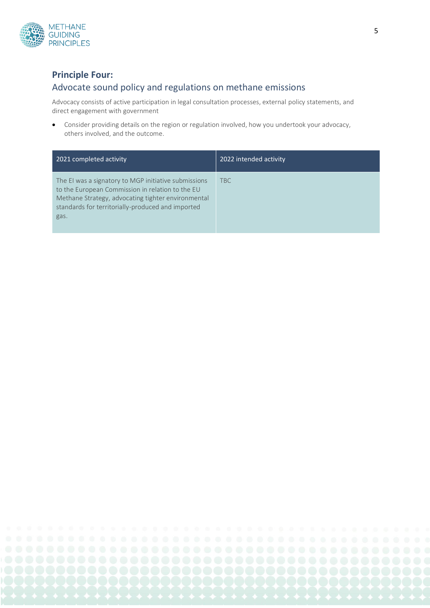

# **Principle Four:**

# Advocate sound policy and regulations on methane emissions

Advocacy consists of active participation in legal consultation processes, external policy statements, and direct engagement with government

• Consider providing details on the region or regulation involved, how you undertook your advocacy, others involved, and the outcome.

| 2021 completed activity                                                                                                                                                                                                     | 2022 intended activity |
|-----------------------------------------------------------------------------------------------------------------------------------------------------------------------------------------------------------------------------|------------------------|
| The EI was a signatory to MGP initiative submissions<br>to the European Commission in relation to the EU<br>Methane Strategy, advocating tighter environmental<br>standards for territorially-produced and imported<br>gas. | <b>TBC</b>             |